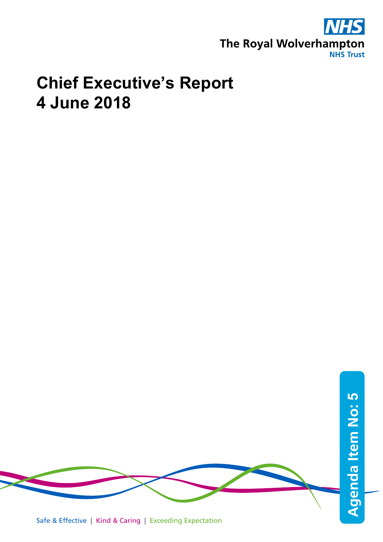

## **Chief Executive's Report 4 June 2018**

**Agenda Item No: Agenda Item No: 5** 

Safe & Effective | Kind & Caring | Exceeding Expectation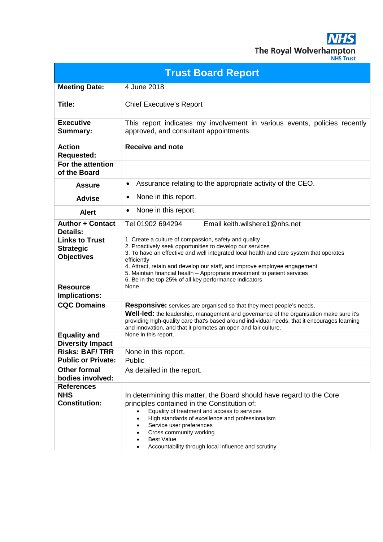**NHS** The Royal Wolverhampton

| <b>JHS Trust</b> |  |
|------------------|--|
|                  |  |
|                  |  |

| <b>Trust Board Report</b>                                      |                                                                                                                                                                                                                                                                                                                                                                                                                                                 |  |  |
|----------------------------------------------------------------|-------------------------------------------------------------------------------------------------------------------------------------------------------------------------------------------------------------------------------------------------------------------------------------------------------------------------------------------------------------------------------------------------------------------------------------------------|--|--|
| <b>Meeting Date:</b>                                           | 4 June 2018                                                                                                                                                                                                                                                                                                                                                                                                                                     |  |  |
| Title:                                                         | <b>Chief Executive's Report</b>                                                                                                                                                                                                                                                                                                                                                                                                                 |  |  |
| <b>Executive</b><br><b>Summary:</b>                            | This report indicates my involvement in various events, policies recently<br>approved, and consultant appointments.                                                                                                                                                                                                                                                                                                                             |  |  |
| <b>Action</b><br><b>Requested:</b>                             | <b>Receive and note</b>                                                                                                                                                                                                                                                                                                                                                                                                                         |  |  |
| For the attention<br>of the Board                              |                                                                                                                                                                                                                                                                                                                                                                                                                                                 |  |  |
| <b>Assure</b>                                                  | Assurance relating to the appropriate activity of the CEO.<br>٠                                                                                                                                                                                                                                                                                                                                                                                 |  |  |
| <b>Advise</b>                                                  | None in this report.<br>٠                                                                                                                                                                                                                                                                                                                                                                                                                       |  |  |
| <b>Alert</b>                                                   | None in this report.<br>$\bullet$                                                                                                                                                                                                                                                                                                                                                                                                               |  |  |
| <b>Author + Contact</b><br><b>Details:</b>                     | Email keith.wilshere1@nhs.net<br>Tel 01902 694294                                                                                                                                                                                                                                                                                                                                                                                               |  |  |
| <b>Links to Trust</b><br><b>Strategic</b><br><b>Objectives</b> | 1. Create a culture of compassion, safety and quality<br>2. Proactively seek opportunities to develop our services<br>3. To have an effective and well integrated local health and care system that operates<br>efficiently<br>4. Attract, retain and develop our staff, and improve employee engagement<br>5. Maintain financial health - Appropriate investment to patient services<br>6. Be in the top 25% of all key performance indicators |  |  |
| <b>Resource</b><br><b>Implications:</b>                        | None                                                                                                                                                                                                                                                                                                                                                                                                                                            |  |  |
| <b>CQC Domains</b>                                             | <b>Responsive:</b> services are organised so that they meet people's needs.<br>Well-led: the leadership, management and governance of the organisation make sure it's<br>providing high-quality care that's based around individual needs, that it encourages learning<br>and innovation, and that it promotes an open and fair culture.                                                                                                        |  |  |
| <b>Equality and</b><br><b>Diversity Impact</b>                 | None in this report.                                                                                                                                                                                                                                                                                                                                                                                                                            |  |  |
| <b>Risks: BAF/TRR</b>                                          | None in this report.                                                                                                                                                                                                                                                                                                                                                                                                                            |  |  |
| <b>Public or Private:</b>                                      | Public                                                                                                                                                                                                                                                                                                                                                                                                                                          |  |  |
| <b>Other formal</b><br>bodies involved:                        | As detailed in the report.                                                                                                                                                                                                                                                                                                                                                                                                                      |  |  |
| <b>References</b>                                              |                                                                                                                                                                                                                                                                                                                                                                                                                                                 |  |  |
| <b>NHS</b><br><b>Constitution:</b>                             | In determining this matter, the Board should have regard to the Core<br>principles contained in the Constitution of:<br>Equality of treatment and access to services<br>High standards of excellence and professionalism<br>Service user preferences<br>Cross community working<br><b>Best Value</b>                                                                                                                                            |  |  |
|                                                                | Accountability through local influence and scrutiny                                                                                                                                                                                                                                                                                                                                                                                             |  |  |